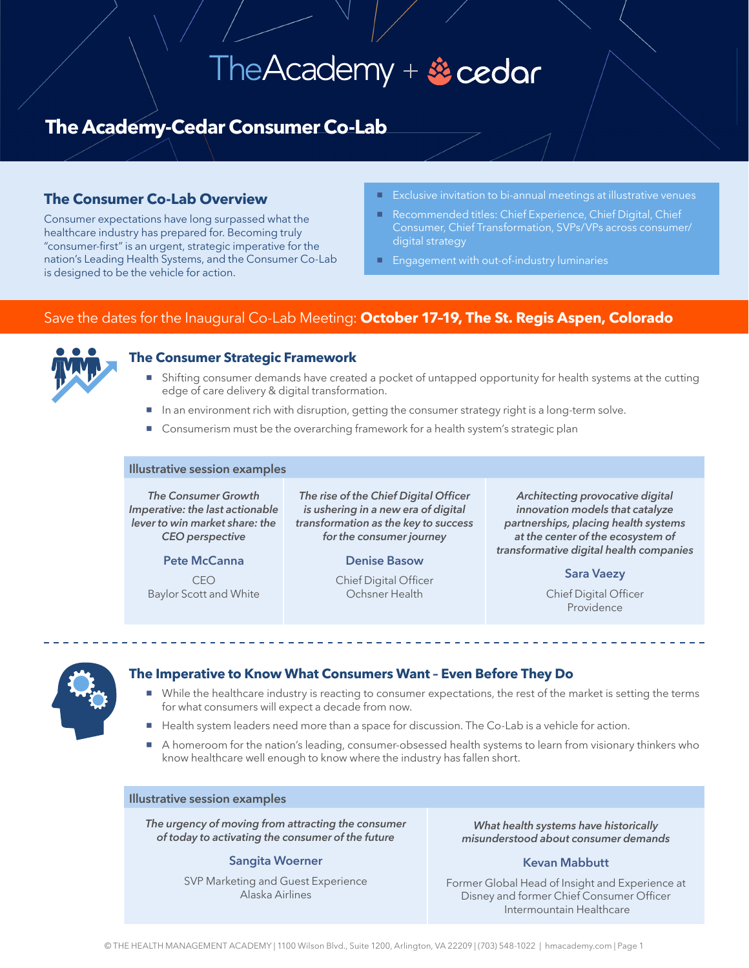# The Academy + & cedar

# **The Academy-Cedar Consumer Co-Lab**

## **The Consumer Co-Lab Overview**

Consumer expectations have long surpassed what the healthcare industry has prepared for. Becoming truly "consumer-first" is an urgent, strategic imperative for the nation's Leading Health Systems, and the Consumer Co-Lab is designed to be the vehicle for action.

- 
- Recommended titles: Chief Experience, Chief Digital, Chief digital strategy
- **Engagement with out-of-industry luminaries**

### Save the dates for the Inaugural Co-Lab Meeting: **October 17–19, The St. Regis Aspen, Colorado**



#### **The Consumer Strategic Framework**

- **Shifting consumer demands have created a pocket of untapped opportunity for health systems at the cutting** edge of care delivery & digital transformation.
- In an environment rich with disruption, getting the consumer strategy right is a long-term solve.
- Consumerism must be the overarching framework for a health system's strategic plan

#### **Illustrative session examples**

*The Consumer Growth Imperative: the last actionable lever to win market share: the CEO perspective*

**Pete McCanna**

CEO Baylor Scott and White

*The rise of the Chief Digital Officer is ushering in a new era of digital transformation as the key to success for the consumer journey* 

#### **Denise Basow**

Chief Digital Officer Ochsner Health

*Architecting provocative digital innovation models that catalyze partnerships, placing health systems at the center of the ecosystem of transformative digital health companies*

**Sara Vaezy**

Chief Digital Officer Providence



#### **The Imperative to Know What Consumers Want – Even Before They Do**

- While the healthcare industry is reacting to consumer expectations, the rest of the market is setting the terms for what consumers will expect a decade from now.
- Health system leaders need more than a space for discussion. The Co-Lab is a vehicle for action.
- A homeroom for the nation's leading, consumer-obsessed health systems to learn from visionary thinkers who know healthcare well enough to know where the industry has fallen short.

#### **Illustrative session examples**

*The urgency of moving from attracting the consumer of today to activating the consumer of the future*

#### **Sangita Woerner**

SVP Marketing and Guest Experience Alaska Airlines

*What health systems have historically misunderstood about consumer demands* 

#### **Kevan Mabbutt**

Former Global Head of Insight and Experience at Disney and former Chief Consumer Officer Intermountain Healthcare